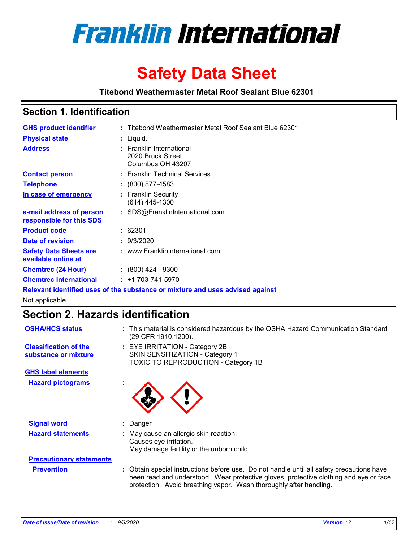

# **Safety Data Sheet**

**Titebond Weathermaster Metal Roof Sealant Blue 62301**

### **Section 1. Identification**

| <b>GHS product identifier</b>                                                 |  | : Titebond Weathermaster Metal Roof Sealant Blue 62301             |  |  |
|-------------------------------------------------------------------------------|--|--------------------------------------------------------------------|--|--|
| <b>Physical state</b>                                                         |  | : Liquid.                                                          |  |  |
| <b>Address</b>                                                                |  | : Franklin International<br>2020 Bruck Street<br>Columbus OH 43207 |  |  |
| <b>Contact person</b>                                                         |  | : Franklin Technical Services                                      |  |  |
| <b>Telephone</b>                                                              |  | $\colon$ (800) 877-4583                                            |  |  |
| In case of emergency                                                          |  | : Franklin Security<br>(614) 445-1300                              |  |  |
| e-mail address of person<br>responsible for this SDS                          |  | : SDS@FranklinInternational.com                                    |  |  |
| <b>Product code</b>                                                           |  | : 62301                                                            |  |  |
| Date of revision                                                              |  | : 9/3/2020                                                         |  |  |
| <b>Safety Data Sheets are</b><br>available online at                          |  | : www.FranklinInternational.com                                    |  |  |
| <b>Chemtrec (24 Hour)</b>                                                     |  | $: (800)$ 424 - 9300                                               |  |  |
| <b>Chemtrec International</b>                                                 |  | $: +1703 - 741 - 5970$                                             |  |  |
| Relevant identified uses of the substance or mixture and uses advised against |  |                                                                    |  |  |

Not applicable.

## **Section 2. Hazards identification**

| <b>OSHA/HCS status</b>                               |    | : This material is considered hazardous by the OSHA Hazard Communication Standard<br>(29 CFR 1910.1200).                                                                                                                                                 |
|------------------------------------------------------|----|----------------------------------------------------------------------------------------------------------------------------------------------------------------------------------------------------------------------------------------------------------|
| <b>Classification of the</b><br>substance or mixture |    | : EYE IRRITATION - Category 2B<br>SKIN SENSITIZATION - Category 1<br>TOXIC TO REPRODUCTION - Category 1B                                                                                                                                                 |
| <b>GHS label elements</b>                            |    |                                                                                                                                                                                                                                                          |
| <b>Hazard pictograms</b>                             | ٠  |                                                                                                                                                                                                                                                          |
| <b>Signal word</b>                                   | ÷. | Danger                                                                                                                                                                                                                                                   |
| <b>Hazard statements</b>                             |    | May cause an allergic skin reaction.<br>Causes eye irritation.<br>May damage fertility or the unborn child.                                                                                                                                              |
| <b>Precautionary statements</b>                      |    |                                                                                                                                                                                                                                                          |
| <b>Prevention</b>                                    |    | : Obtain special instructions before use. Do not handle until all safety precautions have<br>been read and understood. Wear protective gloves, protective clothing and eye or face<br>protection. Avoid breathing vapor. Wash thoroughly after handling. |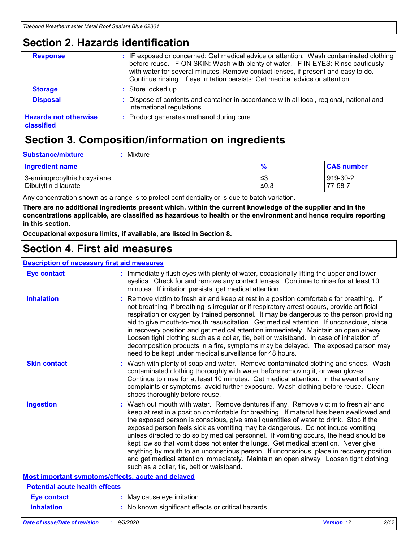### **Section 2. Hazards identification**

| <b>Response</b>                            | : IF exposed or concerned: Get medical advice or attention. Wash contaminated clothing<br>before reuse. IF ON SKIN: Wash with plenty of water. IF IN EYES: Rinse cautiously<br>with water for several minutes. Remove contact lenses, if present and easy to do.<br>Continue rinsing. If eye irritation persists: Get medical advice or attention. |
|--------------------------------------------|----------------------------------------------------------------------------------------------------------------------------------------------------------------------------------------------------------------------------------------------------------------------------------------------------------------------------------------------------|
| <b>Storage</b>                             | : Store locked up.                                                                                                                                                                                                                                                                                                                                 |
| <b>Disposal</b>                            | : Dispose of contents and container in accordance with all local, regional, national and<br>international regulations.                                                                                                                                                                                                                             |
| <b>Hazards not otherwise</b><br>classified | : Product generates methanol during cure.                                                                                                                                                                                                                                                                                                          |

# **Section 3. Composition/information on ingredients**

| <b>Ingredient name</b>       | $\frac{9}{6}$ | <b>CAS number</b> |
|------------------------------|---------------|-------------------|
| 3-aminopropyltriethoxysilane | ≤3            | 919-30-2          |
| Dibutyltin dilaurate         | ∣≤0.3         | $77 - 58 - 1$     |

Any concentration shown as a range is to protect confidentiality or is due to batch variation.

**There are no additional ingredients present which, within the current knowledge of the supplier and in the concentrations applicable, are classified as hazardous to health or the environment and hence require reporting in this section.**

**Occupational exposure limits, if available, are listed in Section 8.**

### **Section 4. First aid measures**

| <b>Description of necessary first aid measures</b> |                                                                                                                                                                                                                                                                                                                                                                                                                                                                                                                                                                                                                                                                                                                                                                           |
|----------------------------------------------------|---------------------------------------------------------------------------------------------------------------------------------------------------------------------------------------------------------------------------------------------------------------------------------------------------------------------------------------------------------------------------------------------------------------------------------------------------------------------------------------------------------------------------------------------------------------------------------------------------------------------------------------------------------------------------------------------------------------------------------------------------------------------------|
| <b>Eye contact</b>                                 | : Immediately flush eyes with plenty of water, occasionally lifting the upper and lower<br>eyelids. Check for and remove any contact lenses. Continue to rinse for at least 10<br>minutes. If irritation persists, get medical attention.                                                                                                                                                                                                                                                                                                                                                                                                                                                                                                                                 |
| <b>Inhalation</b>                                  | : Remove victim to fresh air and keep at rest in a position comfortable for breathing. If<br>not breathing, if breathing is irregular or if respiratory arrest occurs, provide artificial<br>respiration or oxygen by trained personnel. It may be dangerous to the person providing<br>aid to give mouth-to-mouth resuscitation. Get medical attention. If unconscious, place<br>in recovery position and get medical attention immediately. Maintain an open airway.<br>Loosen tight clothing such as a collar, tie, belt or waistband. In case of inhalation of<br>decomposition products in a fire, symptoms may be delayed. The exposed person may<br>need to be kept under medical surveillance for 48 hours.                                                       |
| <b>Skin contact</b>                                | : Wash with plenty of soap and water. Remove contaminated clothing and shoes. Wash<br>contaminated clothing thoroughly with water before removing it, or wear gloves.<br>Continue to rinse for at least 10 minutes. Get medical attention. In the event of any<br>complaints or symptoms, avoid further exposure. Wash clothing before reuse. Clean<br>shoes thoroughly before reuse.                                                                                                                                                                                                                                                                                                                                                                                     |
| <b>Ingestion</b>                                   | : Wash out mouth with water. Remove dentures if any. Remove victim to fresh air and<br>keep at rest in a position comfortable for breathing. If material has been swallowed and<br>the exposed person is conscious, give small quantities of water to drink. Stop if the<br>exposed person feels sick as vomiting may be dangerous. Do not induce vomiting<br>unless directed to do so by medical personnel. If vomiting occurs, the head should be<br>kept low so that vomit does not enter the lungs. Get medical attention. Never give<br>anything by mouth to an unconscious person. If unconscious, place in recovery position<br>and get medical attention immediately. Maintain an open airway. Loosen tight clothing<br>such as a collar, tie, belt or waistband. |
| Most important symptoms/effects, acute and delayed |                                                                                                                                                                                                                                                                                                                                                                                                                                                                                                                                                                                                                                                                                                                                                                           |
| <b>Potential acute health effects</b>              |                                                                                                                                                                                                                                                                                                                                                                                                                                                                                                                                                                                                                                                                                                                                                                           |
| <b>Eye contact</b>                                 | : May cause eye irritation.                                                                                                                                                                                                                                                                                                                                                                                                                                                                                                                                                                                                                                                                                                                                               |
| <b>Inhalation</b>                                  | : No known significant effects or critical hazards.                                                                                                                                                                                                                                                                                                                                                                                                                                                                                                                                                                                                                                                                                                                       |
|                                                    |                                                                                                                                                                                                                                                                                                                                                                                                                                                                                                                                                                                                                                                                                                                                                                           |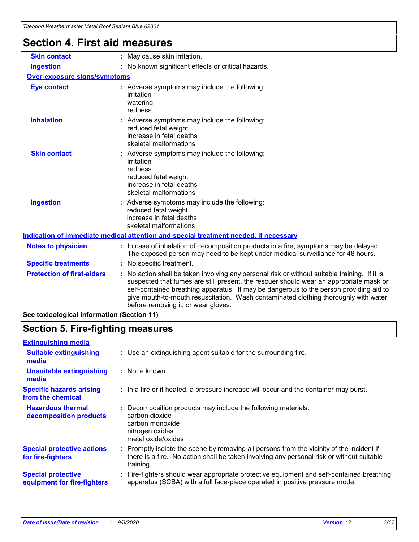| i ilebohu wealilehiilaslei welai Nool Sealaht Bille 0230 i |                                                                                                                                                                                                                                                                                                                                                                                                               |
|------------------------------------------------------------|---------------------------------------------------------------------------------------------------------------------------------------------------------------------------------------------------------------------------------------------------------------------------------------------------------------------------------------------------------------------------------------------------------------|
| <b>Section 4. First aid measures</b>                       |                                                                                                                                                                                                                                                                                                                                                                                                               |
| <b>Skin contact</b>                                        | : May cause skin irritation.                                                                                                                                                                                                                                                                                                                                                                                  |
| <b>Ingestion</b>                                           | : No known significant effects or critical hazards.                                                                                                                                                                                                                                                                                                                                                           |
| <b>Over-exposure signs/symptoms</b>                        |                                                                                                                                                                                                                                                                                                                                                                                                               |
| <b>Eye contact</b>                                         | : Adverse symptoms may include the following:<br>irritation<br>watering<br>redness                                                                                                                                                                                                                                                                                                                            |
| <b>Inhalation</b>                                          | : Adverse symptoms may include the following:<br>reduced fetal weight<br>increase in fetal deaths<br>skeletal malformations                                                                                                                                                                                                                                                                                   |
| <b>Skin contact</b>                                        | : Adverse symptoms may include the following:<br>irritation<br>redness<br>reduced fetal weight<br>increase in fetal deaths<br>skeletal malformations                                                                                                                                                                                                                                                          |
| <b>Ingestion</b>                                           | : Adverse symptoms may include the following:<br>reduced fetal weight<br>increase in fetal deaths<br>skeletal malformations                                                                                                                                                                                                                                                                                   |
|                                                            | Indication of immediate medical attention and special treatment needed, if necessary                                                                                                                                                                                                                                                                                                                          |
| <b>Notes to physician</b>                                  | : In case of inhalation of decomposition products in a fire, symptoms may be delayed.<br>The exposed person may need to be kept under medical surveillance for 48 hours.                                                                                                                                                                                                                                      |
| <b>Specific treatments</b>                                 | : No specific treatment.                                                                                                                                                                                                                                                                                                                                                                                      |
| <b>Protection of first-aiders</b>                          | No action shall be taken involving any personal risk or without suitable training. If it is<br>suspected that fumes are still present, the rescuer should wear an appropriate mask or<br>self-contained breathing apparatus. It may be dangerous to the person providing aid to<br>give mouth-to-mouth resuscitation. Wash contaminated clothing thoroughly with water<br>before removing it, or wear gloves. |
| See toxicological information (Section 11)                 |                                                                                                                                                                                                                                                                                                                                                                                                               |

# **Section 5. Fire-fighting measures**

| : Use an extinguishing agent suitable for the surrounding fire.                                                                                                                                     |
|-----------------------------------------------------------------------------------------------------------------------------------------------------------------------------------------------------|
| : None known.                                                                                                                                                                                       |
| : In a fire or if heated, a pressure increase will occur and the container may burst.                                                                                                               |
| Decomposition products may include the following materials:<br>carbon dioxide<br>carbon monoxide<br>nitrogen oxides<br>metal oxide/oxides                                                           |
| : Promptly isolate the scene by removing all persons from the vicinity of the incident if<br>there is a fire. No action shall be taken involving any personal risk or without suitable<br>training. |
| Fire-fighters should wear appropriate protective equipment and self-contained breathing<br>apparatus (SCBA) with a full face-piece operated in positive pressure mode.                              |
|                                                                                                                                                                                                     |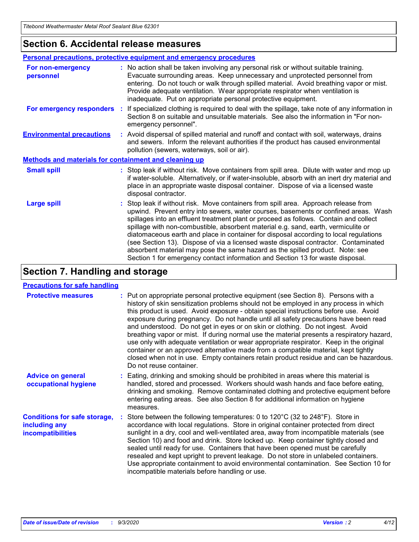### **Section 6. Accidental release measures**

|                                                              | Personal precautions, protective equipment and emergency procedures                                                                                                                                                                                                                                                                                                                                                                                                                                                                                                                                                                                                                                          |  |  |
|--------------------------------------------------------------|--------------------------------------------------------------------------------------------------------------------------------------------------------------------------------------------------------------------------------------------------------------------------------------------------------------------------------------------------------------------------------------------------------------------------------------------------------------------------------------------------------------------------------------------------------------------------------------------------------------------------------------------------------------------------------------------------------------|--|--|
| For non-emergency<br>personnel                               | : No action shall be taken involving any personal risk or without suitable training.<br>Evacuate surrounding areas. Keep unnecessary and unprotected personnel from<br>entering. Do not touch or walk through spilled material. Avoid breathing vapor or mist.<br>Provide adequate ventilation. Wear appropriate respirator when ventilation is<br>inadequate. Put on appropriate personal protective equipment.                                                                                                                                                                                                                                                                                             |  |  |
| For emergency responders                                     | : If specialized clothing is required to deal with the spillage, take note of any information in<br>Section 8 on suitable and unsuitable materials. See also the information in "For non-<br>emergency personnel".                                                                                                                                                                                                                                                                                                                                                                                                                                                                                           |  |  |
| <b>Environmental precautions</b>                             | : Avoid dispersal of spilled material and runoff and contact with soil, waterways, drains<br>and sewers. Inform the relevant authorities if the product has caused environmental<br>pollution (sewers, waterways, soil or air).                                                                                                                                                                                                                                                                                                                                                                                                                                                                              |  |  |
| <b>Methods and materials for containment and cleaning up</b> |                                                                                                                                                                                                                                                                                                                                                                                                                                                                                                                                                                                                                                                                                                              |  |  |
| <b>Small spill</b>                                           | : Stop leak if without risk. Move containers from spill area. Dilute with water and mop up<br>if water-soluble. Alternatively, or if water-insoluble, absorb with an inert dry material and<br>place in an appropriate waste disposal container. Dispose of via a licensed waste<br>disposal contractor.                                                                                                                                                                                                                                                                                                                                                                                                     |  |  |
| <b>Large spill</b>                                           | : Stop leak if without risk. Move containers from spill area. Approach release from<br>upwind. Prevent entry into sewers, water courses, basements or confined areas. Wash<br>spillages into an effluent treatment plant or proceed as follows. Contain and collect<br>spillage with non-combustible, absorbent material e.g. sand, earth, vermiculite or<br>diatomaceous earth and place in container for disposal according to local regulations<br>(see Section 13). Dispose of via a licensed waste disposal contractor. Contaminated<br>absorbent material may pose the same hazard as the spilled product. Note: see<br>Section 1 for emergency contact information and Section 13 for waste disposal. |  |  |

### **Section 7. Handling and storage**

#### **Precautions for safe handling**

| <b>Protective measures</b>                                                       | : Put on appropriate personal protective equipment (see Section 8). Persons with a<br>history of skin sensitization problems should not be employed in any process in which<br>this product is used. Avoid exposure - obtain special instructions before use. Avoid<br>exposure during pregnancy. Do not handle until all safety precautions have been read<br>and understood. Do not get in eyes or on skin or clothing. Do not ingest. Avoid<br>breathing vapor or mist. If during normal use the material presents a respiratory hazard,<br>use only with adequate ventilation or wear appropriate respirator. Keep in the original<br>container or an approved alternative made from a compatible material, kept tightly<br>closed when not in use. Empty containers retain product residue and can be hazardous.<br>Do not reuse container. |
|----------------------------------------------------------------------------------|--------------------------------------------------------------------------------------------------------------------------------------------------------------------------------------------------------------------------------------------------------------------------------------------------------------------------------------------------------------------------------------------------------------------------------------------------------------------------------------------------------------------------------------------------------------------------------------------------------------------------------------------------------------------------------------------------------------------------------------------------------------------------------------------------------------------------------------------------|
| <b>Advice on general</b><br>occupational hygiene                                 | : Eating, drinking and smoking should be prohibited in areas where this material is<br>handled, stored and processed. Workers should wash hands and face before eating,<br>drinking and smoking. Remove contaminated clothing and protective equipment before<br>entering eating areas. See also Section 8 for additional information on hygiene<br>measures.                                                                                                                                                                                                                                                                                                                                                                                                                                                                                    |
| <b>Conditions for safe storage,</b><br>including any<br><b>incompatibilities</b> | Store between the following temperatures: 0 to $120^{\circ}$ C (32 to $248^{\circ}$ F). Store in<br>accordance with local regulations. Store in original container protected from direct<br>sunlight in a dry, cool and well-ventilated area, away from incompatible materials (see<br>Section 10) and food and drink. Store locked up. Keep container tightly closed and<br>sealed until ready for use. Containers that have been opened must be carefully<br>resealed and kept upright to prevent leakage. Do not store in unlabeled containers.<br>Use appropriate containment to avoid environmental contamination. See Section 10 for<br>incompatible materials before handling or use.                                                                                                                                                     |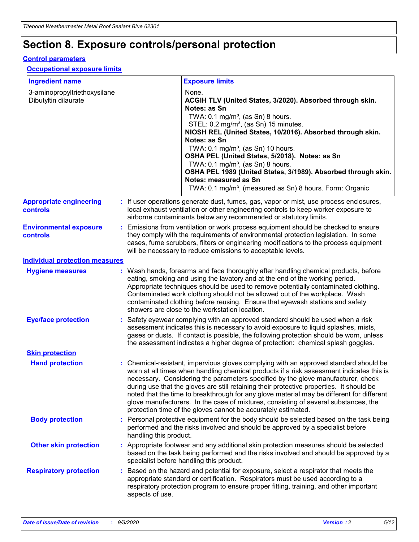# **Section 8. Exposure controls/personal protection**

#### **Control parameters**

#### **Occupational exposure limits**

| <b>Ingredient name</b>                               |    |                                                                                                                                                                                                                                                                                                                                                     | <b>Exposure limits</b>                                                                                                                                                                                                                                                                                                                                                                                                                                                                                                                                                                                                 |  |
|------------------------------------------------------|----|-----------------------------------------------------------------------------------------------------------------------------------------------------------------------------------------------------------------------------------------------------------------------------------------------------------------------------------------------------|------------------------------------------------------------------------------------------------------------------------------------------------------------------------------------------------------------------------------------------------------------------------------------------------------------------------------------------------------------------------------------------------------------------------------------------------------------------------------------------------------------------------------------------------------------------------------------------------------------------------|--|
| 3-aminopropyltriethoxysilane<br>Dibutyltin dilaurate |    |                                                                                                                                                                                                                                                                                                                                                     | None.<br>ACGIH TLV (United States, 3/2020). Absorbed through skin.<br>Notes: as Sn<br>TWA: $0.1 \text{ mg/m}^3$ , (as Sn) 8 hours.<br>STEL: 0.2 mg/m <sup>3</sup> , (as Sn) 15 minutes.<br>NIOSH REL (United States, 10/2016). Absorbed through skin.<br>Notes: as Sn<br>TWA: 0.1 mg/m <sup>3</sup> , (as Sn) 10 hours.<br>OSHA PEL (United States, 5/2018). Notes: as Sn<br>TWA: 0.1 mg/m <sup>3</sup> , (as Sn) 8 hours.<br>OSHA PEL 1989 (United States, 3/1989). Absorbed through skin.<br>Notes: measured as Sn<br>TWA: 0.1 mg/m <sup>3</sup> , (measured as Sn) 8 hours. Form: Organic                           |  |
| <b>Appropriate engineering</b><br>controls           |    |                                                                                                                                                                                                                                                                                                                                                     | : If user operations generate dust, fumes, gas, vapor or mist, use process enclosures,<br>local exhaust ventilation or other engineering controls to keep worker exposure to<br>airborne contaminants below any recommended or statutory limits.                                                                                                                                                                                                                                                                                                                                                                       |  |
| <b>Environmental exposure</b><br>controls            |    | Emissions from ventilation or work process equipment should be checked to ensure<br>they comply with the requirements of environmental protection legislation. In some<br>cases, fume scrubbers, filters or engineering modifications to the process equipment<br>will be necessary to reduce emissions to acceptable levels.                       |                                                                                                                                                                                                                                                                                                                                                                                                                                                                                                                                                                                                                        |  |
| <b>Individual protection measures</b>                |    |                                                                                                                                                                                                                                                                                                                                                     |                                                                                                                                                                                                                                                                                                                                                                                                                                                                                                                                                                                                                        |  |
| <b>Hygiene measures</b>                              |    |                                                                                                                                                                                                                                                                                                                                                     | : Wash hands, forearms and face thoroughly after handling chemical products, before<br>eating, smoking and using the lavatory and at the end of the working period.<br>Appropriate techniques should be used to remove potentially contaminated clothing.<br>Contaminated work clothing should not be allowed out of the workplace. Wash<br>contaminated clothing before reusing. Ensure that eyewash stations and safety<br>showers are close to the workstation location.                                                                                                                                            |  |
| <b>Eye/face protection</b>                           |    | Safety eyewear complying with an approved standard should be used when a risk<br>assessment indicates this is necessary to avoid exposure to liquid splashes, mists,<br>gases or dusts. If contact is possible, the following protection should be worn, unless<br>the assessment indicates a higher degree of protection: chemical splash goggles. |                                                                                                                                                                                                                                                                                                                                                                                                                                                                                                                                                                                                                        |  |
| <b>Skin protection</b>                               |    |                                                                                                                                                                                                                                                                                                                                                     |                                                                                                                                                                                                                                                                                                                                                                                                                                                                                                                                                                                                                        |  |
| <b>Hand protection</b>                               |    |                                                                                                                                                                                                                                                                                                                                                     | : Chemical-resistant, impervious gloves complying with an approved standard should be<br>worn at all times when handling chemical products if a risk assessment indicates this is<br>necessary. Considering the parameters specified by the glove manufacturer, check<br>during use that the gloves are still retaining their protective properties. It should be<br>noted that the time to breakthrough for any glove material may be different for different<br>glove manufacturers. In the case of mixtures, consisting of several substances, the<br>protection time of the gloves cannot be accurately estimated. |  |
| <b>Body protection</b>                               |    | handling this product.                                                                                                                                                                                                                                                                                                                              | Personal protective equipment for the body should be selected based on the task being<br>performed and the risks involved and should be approved by a specialist before                                                                                                                                                                                                                                                                                                                                                                                                                                                |  |
| <b>Other skin protection</b>                         |    |                                                                                                                                                                                                                                                                                                                                                     | : Appropriate footwear and any additional skin protection measures should be selected<br>based on the task being performed and the risks involved and should be approved by a<br>specialist before handling this product.                                                                                                                                                                                                                                                                                                                                                                                              |  |
| <b>Respiratory protection</b>                        | ÷. | aspects of use.                                                                                                                                                                                                                                                                                                                                     | Based on the hazard and potential for exposure, select a respirator that meets the<br>appropriate standard or certification. Respirators must be used according to a<br>respiratory protection program to ensure proper fitting, training, and other important                                                                                                                                                                                                                                                                                                                                                         |  |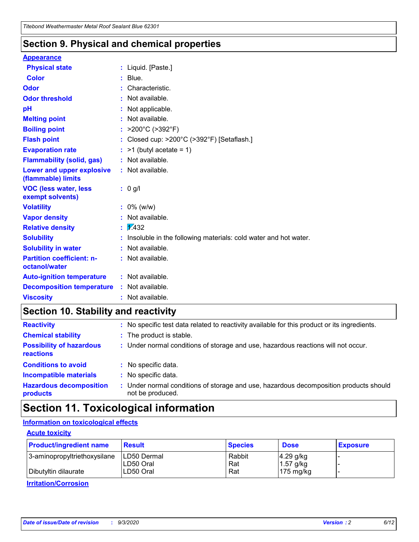### **Section 9. Physical and chemical properties**

#### **Appearance**

| <b>Physical state</b>                             |   | : Liquid. [Paste.]                                              |
|---------------------------------------------------|---|-----------------------------------------------------------------|
| <b>Color</b>                                      |   | Blue.                                                           |
| Odor                                              |   | Characteristic.                                                 |
| <b>Odor threshold</b>                             | ÷ | Not available.                                                  |
| рH                                                |   | Not applicable.                                                 |
| <b>Melting point</b>                              |   | : Not available.                                                |
| <b>Boiling point</b>                              |   | >200°C (>392°F)                                                 |
| <b>Flash point</b>                                |   | Closed cup: >200°C (>392°F) [Setaflash.]                        |
| <b>Evaporation rate</b>                           |   | $:$ >1 (butyl acetate = 1)                                      |
| <b>Flammability (solid, gas)</b>                  |   | : Not available.                                                |
| Lower and upper explosive<br>(flammable) limits   |   | : Not available.                                                |
| <b>VOC (less water, less)</b><br>exempt solvents) |   | : 0 g/l                                                         |
| <b>Volatility</b>                                 |   | $: 0\%$ (w/w)                                                   |
| <b>Vapor density</b>                              |   | Not available.                                                  |
| <b>Relative density</b>                           |   | $\mathbf{1}$ $\mathbf{\sqrt{432}}$                              |
| <b>Solubility</b>                                 |   | Insoluble in the following materials: cold water and hot water. |
| <b>Solubility in water</b>                        |   | Not available.                                                  |
| <b>Partition coefficient: n-</b><br>octanol/water |   | $:$ Not available.                                              |
| <b>Auto-ignition temperature</b>                  |   | : Not available.                                                |
| <b>Decomposition temperature</b>                  |   | : Not available.                                                |
| <b>Viscosity</b>                                  |   | $:$ Not available.                                              |

### **Section 10. Stability and reactivity**

| <b>Reactivity</b>                            | : No specific test data related to reactivity available for this product or its ingredients.            |
|----------------------------------------------|---------------------------------------------------------------------------------------------------------|
| <b>Chemical stability</b>                    | : The product is stable.                                                                                |
| <b>Possibility of hazardous</b><br>reactions | : Under normal conditions of storage and use, hazardous reactions will not occur.                       |
| <b>Conditions to avoid</b>                   | : No specific data.                                                                                     |
| <b>Incompatible materials</b>                | : No specific data.                                                                                     |
| <b>Hazardous decomposition</b><br>products   | Under normal conditions of storage and use, hazardous decomposition products should<br>not be produced. |

### **Section 11. Toxicological information**

#### **Information on toxicological effects**

#### **Acute toxicity**

| <b>Product/ingredient name</b> | <b>Result</b>           | <b>Species</b> | <b>Dose</b>                | <b>Exposure</b> |
|--------------------------------|-------------------------|----------------|----------------------------|-----------------|
| 3-aminopropyltriethoxysilane   | <b>ILD50 Dermal</b>     | Rabbit         | 4.29 g/kg                  |                 |
| Dibutyltin dilaurate           | ILD50 Oral<br>LD50 Oral | Rat<br>Rat     | $1.57$ g/kg<br>175 $mg/kg$ |                 |
|                                |                         |                |                            |                 |

**Irritation/Corrosion**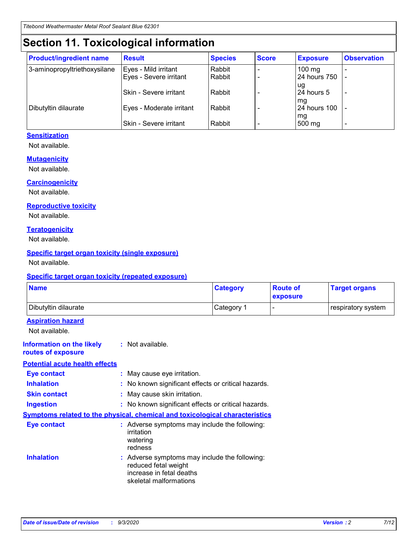# **Section 11. Toxicological information**

| <b>Product/ingredient name</b> | <b>Result</b>            | <b>Species</b> | <b>Score</b> | <b>Exposure</b>           | <b>Observation</b> |
|--------------------------------|--------------------------|----------------|--------------|---------------------------|--------------------|
| 3-aminopropyltriethoxysilane   | Eyes - Mild irritant     | Rabbit         |              | $100$ mg                  |                    |
|                                | Eyes - Severe irritant   | Rabbit         |              | 24 hours 750              |                    |
|                                |                          |                |              | ug                        |                    |
|                                | Skin - Severe irritant   | Rabbit         |              | 24 hours 5                | -                  |
| Dibutyltin dilaurate           | Eyes - Moderate irritant | Rabbit         |              | mq<br><b>24 hours 100</b> |                    |
|                                |                          |                |              | mg                        |                    |
|                                | Skin - Severe irritant   | Rabbit         |              | 500 mg                    |                    |

#### **Sensitization**

Not available.

#### **Mutagenicity**

Not available.

#### **Carcinogenicity**

Not available.

#### **Reproductive toxicity**

Not available.

#### **Teratogenicity**

Not available.

#### **Specific target organ toxicity (single exposure)**

Not available.

#### **Specific target organ toxicity (repeated exposure)**

| <b>Name</b>                                                                         |                                                                            | <b>Category</b>                                     | <b>Route of</b><br>exposure | <b>Target organs</b> |  |  |
|-------------------------------------------------------------------------------------|----------------------------------------------------------------------------|-----------------------------------------------------|-----------------------------|----------------------|--|--|
| Dibutyltin dilaurate                                                                |                                                                            | Category 1                                          |                             | respiratory system   |  |  |
| <b>Aspiration hazard</b><br>Not available.                                          |                                                                            |                                                     |                             |                      |  |  |
| <b>Information on the likely</b><br>routes of exposure                              | : Not available.                                                           |                                                     |                             |                      |  |  |
| <b>Potential acute health effects</b>                                               |                                                                            |                                                     |                             |                      |  |  |
| <b>Eye contact</b>                                                                  | : May cause eye irritation.                                                |                                                     |                             |                      |  |  |
| <b>Inhalation</b>                                                                   |                                                                            | : No known significant effects or critical hazards. |                             |                      |  |  |
| <b>Skin contact</b>                                                                 |                                                                            | : May cause skin irritation.                        |                             |                      |  |  |
| <b>Ingestion</b>                                                                    |                                                                            | : No known significant effects or critical hazards. |                             |                      |  |  |
| <b>Symptoms related to the physical, chemical and toxicological characteristics</b> |                                                                            |                                                     |                             |                      |  |  |
| <b>Eye contact</b>                                                                  | irritation<br>watering<br>redness                                          | : Adverse symptoms may include the following:       |                             |                      |  |  |
| <b>Inhalation</b>                                                                   | reduced fetal weight<br>increase in fetal deaths<br>skeletal malformations | : Adverse symptoms may include the following:       |                             |                      |  |  |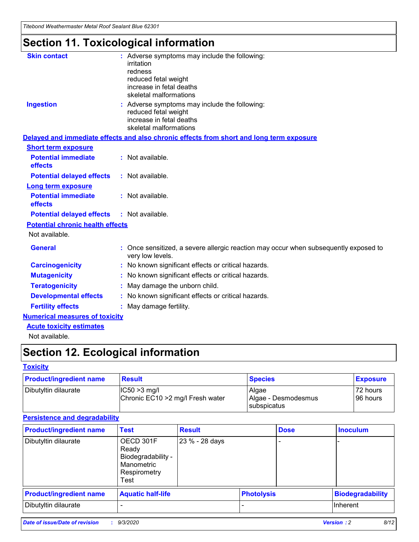*Titebond Weathermaster Metal Roof Sealant Blue 62301*

# **Section 11. Toxicological information**

| <b>Skin contact</b>                     | : Adverse symptoms may include the following:<br>irritation                                                                 |  |
|-----------------------------------------|-----------------------------------------------------------------------------------------------------------------------------|--|
|                                         | redness                                                                                                                     |  |
|                                         | reduced fetal weight<br>increase in fetal deaths                                                                            |  |
|                                         | skeletal malformations                                                                                                      |  |
| <b>Ingestion</b>                        | : Adverse symptoms may include the following:<br>reduced fetal weight<br>increase in fetal deaths<br>skeletal malformations |  |
|                                         | Delayed and immediate effects and also chronic effects from short and long term exposure                                    |  |
| <b>Short term exposure</b>              |                                                                                                                             |  |
| <b>Potential immediate</b><br>effects   | : Not available.                                                                                                            |  |
| <b>Potential delayed effects</b>        | : Not available.                                                                                                            |  |
| <b>Long term exposure</b>               |                                                                                                                             |  |
| <b>Potential immediate</b><br>effects   | : Not available.                                                                                                            |  |
| <b>Potential delayed effects</b>        | : Not available.                                                                                                            |  |
| <b>Potential chronic health effects</b> |                                                                                                                             |  |
| Not available.                          |                                                                                                                             |  |
| <b>General</b>                          | Once sensitized, a severe allergic reaction may occur when subsequently exposed to<br>very low levels.                      |  |
| <b>Carcinogenicity</b>                  | : No known significant effects or critical hazards.                                                                         |  |
| <b>Mutagenicity</b>                     | : No known significant effects or critical hazards.                                                                         |  |
| <b>Teratogenicity</b>                   | May damage the unborn child.                                                                                                |  |
| <b>Developmental effects</b>            | : No known significant effects or critical hazards.                                                                         |  |
| <b>Fertility effects</b>                | May damage fertility.                                                                                                       |  |
| <b>Numerical measures of toxicity</b>   |                                                                                                                             |  |
| <b>Acute toxicity estimates</b>         |                                                                                                                             |  |
| الملحلة والمستحقق فالمرابط              |                                                                                                                             |  |

Not available.

# **Section 12. Ecological information**

#### **Toxicity**

| <b>Product/ingredient name</b> | <b>Result</b>                                       | <b>Species</b>               | <b>Exposure</b>       |
|--------------------------------|-----------------------------------------------------|------------------------------|-----------------------|
| Dibutyltin dilaurate           | $ CC50>3$ mg/l<br>Chronic EC10 > 2 mg/l Fresh water | Algae<br>Algae - Desmodesmus | 72 hours<br>196 hours |
|                                |                                                     | <b>I</b> subspicatus         |                       |

#### **Persistence and degradability**

| <b>Product/ingredient name</b> | <b>Test</b>                                                                    | <b>Result</b>  |                   | <b>Dose</b> | <b>Inoculum</b>         |
|--------------------------------|--------------------------------------------------------------------------------|----------------|-------------------|-------------|-------------------------|
| Dibutyltin dilaurate           | OECD 301F<br>Ready<br>Biodegradability -<br>Manometric<br>Respirometry<br>Test | 23 % - 28 days |                   |             |                         |
| <b>Product/ingredient name</b> | <b>Aquatic half-life</b>                                                       |                | <b>Photolysis</b> |             | <b>Biodegradability</b> |
| Dibutyltin dilaurate           |                                                                                |                |                   |             | <b>Inherent</b>         |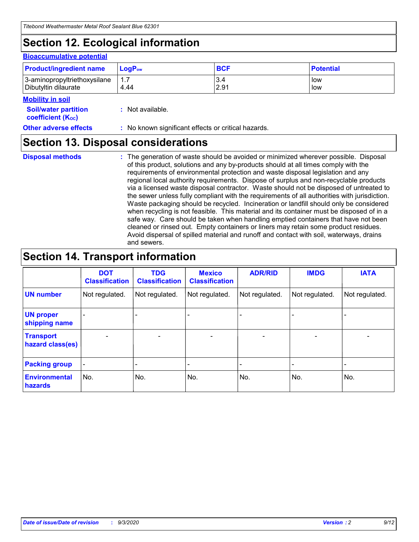# **Section 12. Ecological information**

#### **Bioaccumulative potential**

| <b>Product/ingredient name</b> | $\mathsf{LogP}_\mathsf{ow}$ | <b>BCF</b> | <b>Potential</b> |
|--------------------------------|-----------------------------|------------|------------------|
| 3-aminopropyltriethoxysilane   | 1.7                         | 3.4        | low              |
| Dibutyltin dilaurate           | 4.44                        | 2.91       | low              |

#### **Mobility in soil**

| IVIVNIIILY III JVII<br><b>Soil/water partition</b><br>coefficient (K <sub>oc</sub> ) | : Not available.                                    |
|--------------------------------------------------------------------------------------|-----------------------------------------------------|
| <b>Other adverse effects</b>                                                         | : No known significant effects or critical hazards. |

### **Section 13. Disposal considerations**

**Disposal methods :**

The generation of waste should be avoided or minimized wherever possible. Disposal of this product, solutions and any by-products should at all times comply with the requirements of environmental protection and waste disposal legislation and any regional local authority requirements. Dispose of surplus and non-recyclable products via a licensed waste disposal contractor. Waste should not be disposed of untreated to the sewer unless fully compliant with the requirements of all authorities with jurisdiction. Waste packaging should be recycled. Incineration or landfill should only be considered when recycling is not feasible. This material and its container must be disposed of in a safe way. Care should be taken when handling emptied containers that have not been cleaned or rinsed out. Empty containers or liners may retain some product residues. Avoid dispersal of spilled material and runoff and contact with soil, waterways, drains and sewers.

### **Section 14. Transport information**

|                                      | <b>DOT</b><br><b>Classification</b> | <b>TDG</b><br><b>Classification</b> | <b>Mexico</b><br><b>Classification</b> | <b>ADR/RID</b>           | <b>IMDG</b>              | <b>IATA</b>    |
|--------------------------------------|-------------------------------------|-------------------------------------|----------------------------------------|--------------------------|--------------------------|----------------|
| <b>UN number</b>                     | Not regulated.                      | Not regulated.                      | Not regulated.                         | Not regulated.           | Not regulated.           | Not regulated. |
| <b>UN proper</b><br>shipping name    |                                     |                                     |                                        |                          |                          |                |
| <b>Transport</b><br>hazard class(es) |                                     | $\overline{\phantom{0}}$            | $\qquad \qquad \blacksquare$           | $\overline{\phantom{0}}$ | $\overline{\phantom{0}}$ |                |
| <b>Packing group</b>                 |                                     |                                     |                                        |                          |                          |                |
| <b>Environmental</b><br>hazards      | No.                                 | No.                                 | No.                                    | No.                      | No.                      | No.            |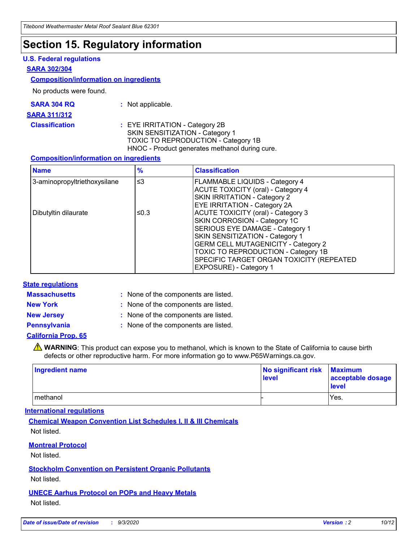### **Section 15. Regulatory information**

#### **U.S. Federal regulations**

#### **SARA 302/304**

#### **Composition/information on ingredients**

No products were found.

| SARA 304 RQ | Not applicable. |
|-------------|-----------------|
|-------------|-----------------|

#### **SARA 311/312**

**Classification :** EYE IRRITATION - Category 2B SKIN SENSITIZATION - Category 1 TOXIC TO REPRODUCTION - Category 1B HNOC - Product generates methanol during cure.

#### **Composition/information on ingredients**

| <b>Name</b>                  | $\frac{9}{6}$ | <b>Classification</b>                                                                                                                                                                                                                                                                                      |
|------------------------------|---------------|------------------------------------------------------------------------------------------------------------------------------------------------------------------------------------------------------------------------------------------------------------------------------------------------------------|
| 3-aminopropyltriethoxysilane | $\leq$ 3      | <b>FLAMMABLE LIQUIDS - Category 4</b><br><b>ACUTE TOXICITY (oral) - Category 4</b><br><b>SKIN IRRITATION - Category 2</b><br>EYE IRRITATION - Category 2A                                                                                                                                                  |
| Dibutyltin dilaurate         | ≤0.3          | <b>ACUTE TOXICITY (oral) - Category 3</b><br>SKIN CORROSION - Category 1C<br>SERIOUS EYE DAMAGE - Category 1<br>SKIN SENSITIZATION - Category 1<br><b>GERM CELL MUTAGENICITY - Category 2</b><br>TOXIC TO REPRODUCTION - Category 1B<br>SPECIFIC TARGET ORGAN TOXICITY (REPEATED<br>EXPOSURE) - Category 1 |

#### **State regulations**

**Massachusetts :**

: None of the components are listed.

**New York :** None of the components are listed. **New Jersey :** None of the components are listed.

**Pennsylvania :** None of the components are listed.

#### **California Prop. 65**

WARNING: This product can expose you to methanol, which is known to the State of California to cause birth defects or other reproductive harm. For more information go to www.P65Warnings.ca.gov.

| Ingredient name | No significant risk Maximum<br>level | acceptable dosage<br><b>level</b> |
|-----------------|--------------------------------------|-----------------------------------|
| I methanol      |                                      | Yes.                              |

#### **International regulations**

**Chemical Weapon Convention List Schedules I, II & III Chemicals** Not listed.

#### **Montreal Protocol**

Not listed.

**Stockholm Convention on Persistent Organic Pollutants**

Not listed.

#### **UNECE Aarhus Protocol on POPs and Heavy Metals** Not listed.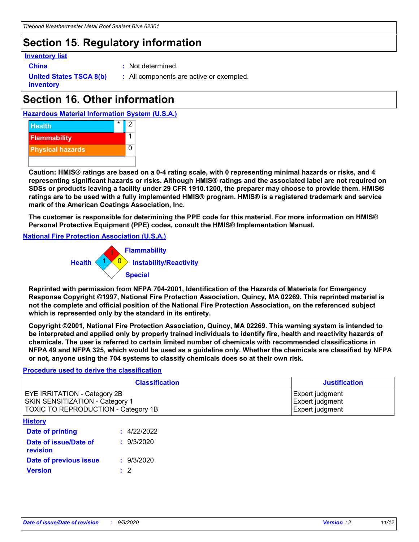### **Section 15. Regulatory information**

#### **Inventory list**

- 
- **China :** Not determined.

**United States TSCA 8(b) inventory**

**:** All components are active or exempted.

# **Section 16. Other information**





**Caution: HMIS® ratings are based on a 0-4 rating scale, with 0 representing minimal hazards or risks, and 4 representing significant hazards or risks. Although HMIS® ratings and the associated label are not required on SDSs or products leaving a facility under 29 CFR 1910.1200, the preparer may choose to provide them. HMIS® ratings are to be used with a fully implemented HMIS® program. HMIS® is a registered trademark and service mark of the American Coatings Association, Inc.**

**The customer is responsible for determining the PPE code for this material. For more information on HMIS® Personal Protective Equipment (PPE) codes, consult the HMIS® Implementation Manual.**

**National Fire Protection Association (U.S.A.)**



**Reprinted with permission from NFPA 704-2001, Identification of the Hazards of Materials for Emergency Response Copyright ©1997, National Fire Protection Association, Quincy, MA 02269. This reprinted material is not the complete and official position of the National Fire Protection Association, on the referenced subject which is represented only by the standard in its entirety.**

**Copyright ©2001, National Fire Protection Association, Quincy, MA 02269. This warning system is intended to be interpreted and applied only by properly trained individuals to identify fire, health and reactivity hazards of chemicals. The user is referred to certain limited number of chemicals with recommended classifications in NFPA 49 and NFPA 325, which would be used as a guideline only. Whether the chemicals are classified by NFPA or not, anyone using the 704 systems to classify chemicals does so at their own risk.**

#### **Procedure used to derive the classification**

| <b>Classification</b>                                                                                                | <b>Justification</b>                                  |
|----------------------------------------------------------------------------------------------------------------------|-------------------------------------------------------|
| <b>EYE IRRITATION - Category 2B</b><br><b>SKIN SENSITIZATION - Category 1</b><br>TOXIC TO REPRODUCTION - Category 1B | Expert judgment<br>Expert judgment<br>Expert judgment |
| <b>History</b>                                                                                                       |                                                       |

| .                                 |             |
|-----------------------------------|-------------|
| <b>Date of printing</b>           | : 4/22/2022 |
| Date of issue/Date of<br>revision | : 9/3/2020  |
| Date of previous issue            | : 9/3/2020  |
| <b>Version</b>                    | $\cdot$ 2   |
|                                   |             |